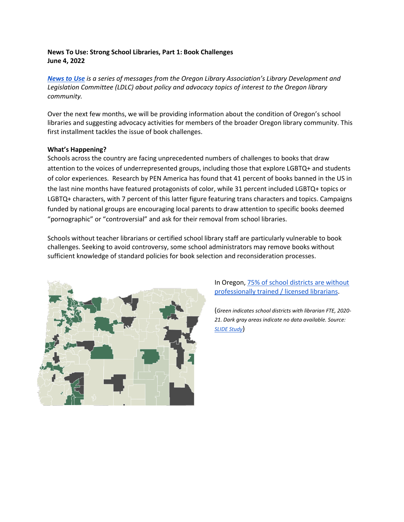# **News To Use: Strong School Libraries, Part 1: Book Challenges June 4, 2022**

*News to Use is a series of messages from the Oregon Library Association's Library Development and Legislation Committee (LDLC) about policy and advocacy topics of interest to the Oregon library community.*

Over the next few months, we will be providing information about the condition of Oregon's school libraries and suggesting advocacy activities for members of the broader Oregon library community. This first installment tackles the issue of book challenges.

## **What's Happening?**

Schools across the country are facing unprecedented numbers of challenges to books that draw attention to the voices of underrepresented groups, including those that explore LGBTQ+ and students of color experiences. Research by PEN America has found that 41 percent of books banned in the US in the last nine months have featured protagonists of color, while 31 percent included LGBTQ+ topics or LGBTQ+ characters, with 7 percent of this latter figure featuring trans characters and topics. Campaigns funded by national groups are encouraging local parents to draw attention to specific books deemed "pornographic" or "controversial" and ask for their removal from school libraries.

Schools without teacher librarians or certified school library staff are particularly vulnerable to book challenges. Seeking to avoid controversy, some school administrators may remove books without sufficient knowledge of standard policies for book selection and reconsideration processes.



# In Oregon, 75% of school districts are without professionally trained / licensed librarians.

(*Green indicates school districts with librarian FTE, 2020- 21. Dark gray areas indicate no data available. Source: SLIDE Study*)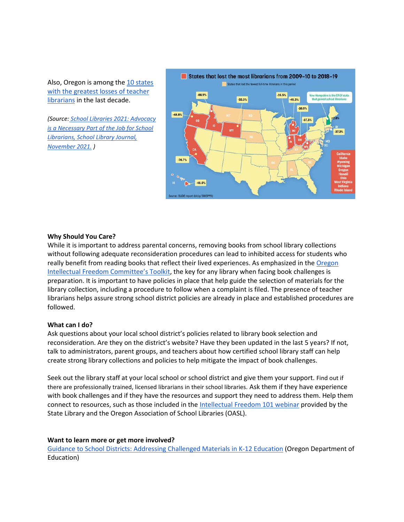Also, Oregon is among the 10 states [with the greatest losses of teacher](https://www.slj.com/story/school-libraries-2021-advocacy-is-necessary-part-of-the-job-for-school-librarians)  [librarians](https://www.slj.com/story/school-libraries-2021-advocacy-is-necessary-part-of-the-job-for-school-librarians) in the last decade.

*(Source: [School Libraries 2021: Advocacy](https://www.slj.com/story/school-libraries-2021-advocacy-is-necessary-part-of-the-job-for-school-librarians)  [is a Necessary Part of the Job for School](https://www.slj.com/story/school-libraries-2021-advocacy-is-necessary-part-of-the-job-for-school-librarians)  [Librarians, School Library Journal,](https://www.slj.com/story/school-libraries-2021-advocacy-is-necessary-part-of-the-job-for-school-librarians)  [November 2021.](https://www.slj.com/story/school-libraries-2021-advocacy-is-necessary-part-of-the-job-for-school-librarians) )*



## **Why Should You Care?**

While it is important to address parental concerns, removing books from school library collections without following adequate reconsideration procedures can lead to inhibited access for students who really benefit from reading books that reflect their lived experiences. As emphasized in the Oregon [Intellectual Freedom Committee's Toolkit](https://libguides.osl.state.or.us/iftoolkit/home), the key for any library when facing book challenges is preparation. It is important to have policies in place that help guide the selection of materials for the library collection, including a procedure to follow when a complaint is filed. The presence of teacher librarians helps assure strong school district policies are already in place and established procedures are followed.

#### **What can I do?**

Ask questions about your local school district's policies related to library book selection and reconsideration. Are they on the district's website? Have they been updated in the last 5 years? If not, talk to administrators, parent groups, and teachers about how certified school library staff can help create strong library collections and policies to help mitigate the impact of book challenges.

Seek out the library staff at your local school or school district and give them your support. Find out if there are professionally trained, licensed librarians in their school libraries. Ask them if they have experience with book challenges and if they have the resources and support they need to address them. Help them connect to resources, such as those included in th[e Intellectual Freedom 101 webinar](https://docs.google.com/presentation/d/e/2PACX-1vScSwXNzxbdcCpwoJ69Swih2EFWwudvSYhYF2ZVbeF2BdoK2W6tmhGQaY-xziw0i0BFfzm3LmmJJ7I5/pub?start=false&loop=false&delayms=3000) provided by the State Library and the Oregon Association of School Libraries (OASL).

#### **Want to learn more or get more involved?**

[Guidance to School Districts: Addressing Challenged Materials in K-12 Education](https://drive.google.com/drive/folders/1k6GdjBgHy33SBNWhT_dj3b_q6Nm19mb-) (Oregon Department of Education)